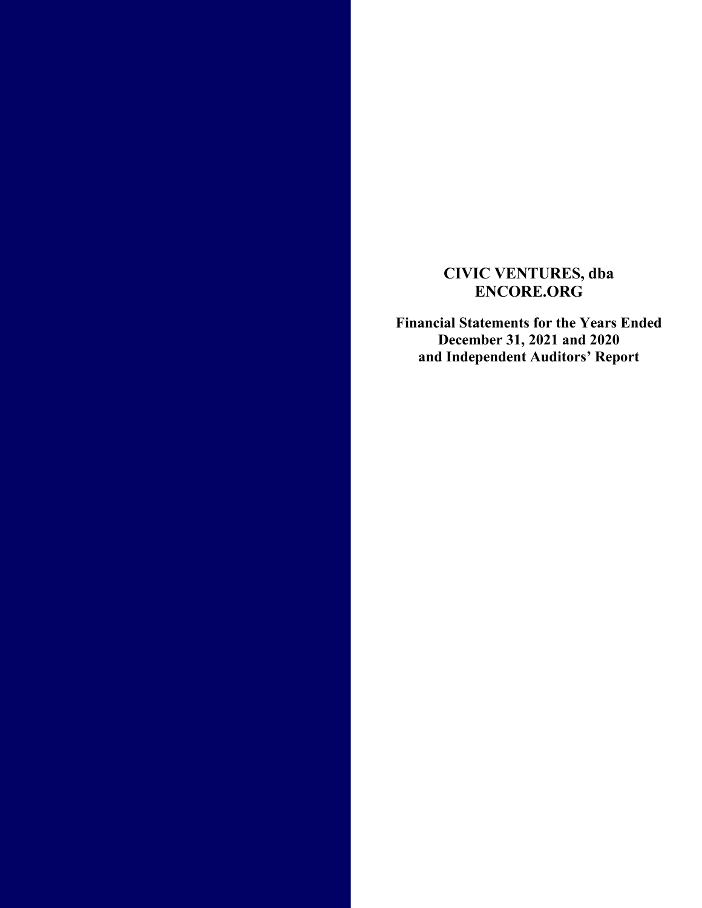**Financial Statements for the Years Ended December 31, 2021 and 2020 and Independent Auditors' Report**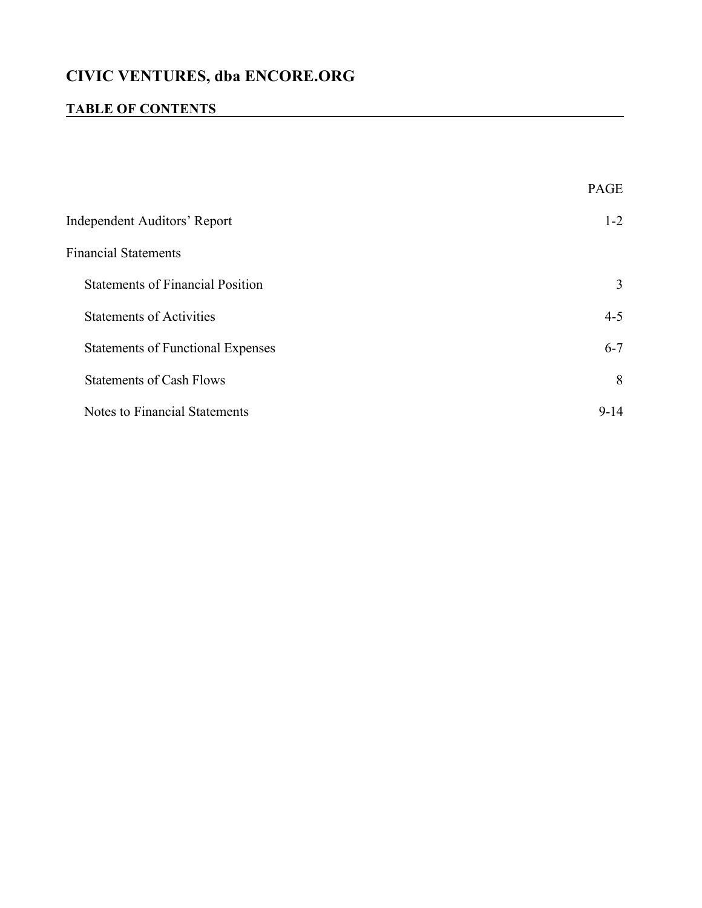## **TABLE OF CONTENTS**

|                                          | <b>PAGE</b> |
|------------------------------------------|-------------|
| <b>Independent Auditors' Report</b>      | $1 - 2$     |
| <b>Financial Statements</b>              |             |
| <b>Statements of Financial Position</b>  | 3           |
| <b>Statements of Activities</b>          | $4 - 5$     |
| <b>Statements of Functional Expenses</b> | $6 - 7$     |
| <b>Statements of Cash Flows</b>          | 8           |
| <b>Notes to Financial Statements</b>     | $9-14$      |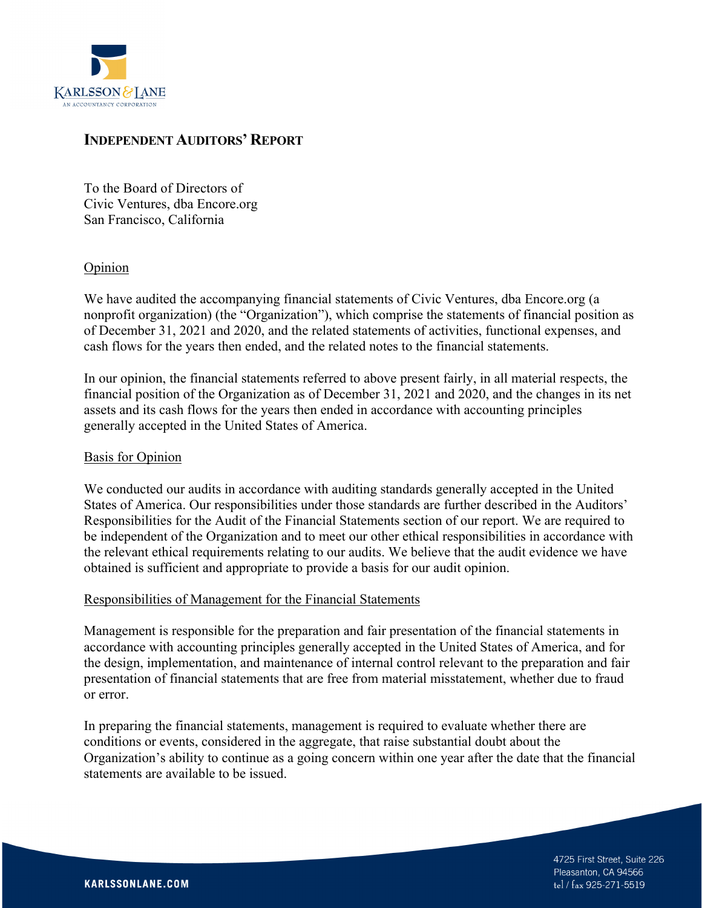

## **INDEPENDENT AUDITORS' REPORT**

To the Board of Directors of Civic Ventures, dba Encore.org San Francisco, California

### Opinion

We have audited the accompanying financial statements of Civic Ventures, dba Encore.org (a nonprofit organization) (the "Organization"), which comprise the statements of financial position as of December 31, 2021 and 2020, and the related statements of activities, functional expenses, and cash flows for the years then ended, and the related notes to the financial statements.

In our opinion, the financial statements referred to above present fairly, in all material respects, the financial position of the Organization as of December 31, 2021 and 2020, and the changes in its net assets and its cash flows for the years then ended in accordance with accounting principles generally accepted in the United States of America.

#### Basis for Opinion

We conducted our audits in accordance with auditing standards generally accepted in the United States of America. Our responsibilities under those standards are further described in the Auditors' Responsibilities for the Audit of the Financial Statements section of our report. We are required to be independent of the Organization and to meet our other ethical responsibilities in accordance with the relevant ethical requirements relating to our audits. We believe that the audit evidence we have obtained is sufficient and appropriate to provide a basis for our audit opinion.

#### Responsibilities of Management for the Financial Statements

Management is responsible for the preparation and fair presentation of the financial statements in accordance with accounting principles generally accepted in the United States of America, and for the design, implementation, and maintenance of internal control relevant to the preparation and fair presentation of financial statements that are free from material misstatement, whether due to fraud or error.

In preparing the financial statements, management is required to evaluate whether there are conditions or events, considered in the aggregate, that raise substantial doubt about the Organization's ability to continue as a going concern within one year after the date that the financial statements are available to be issued.

> 4725 First Street, Suite 226 Pleasanton, CA 94566 tel / fax 925-271-5519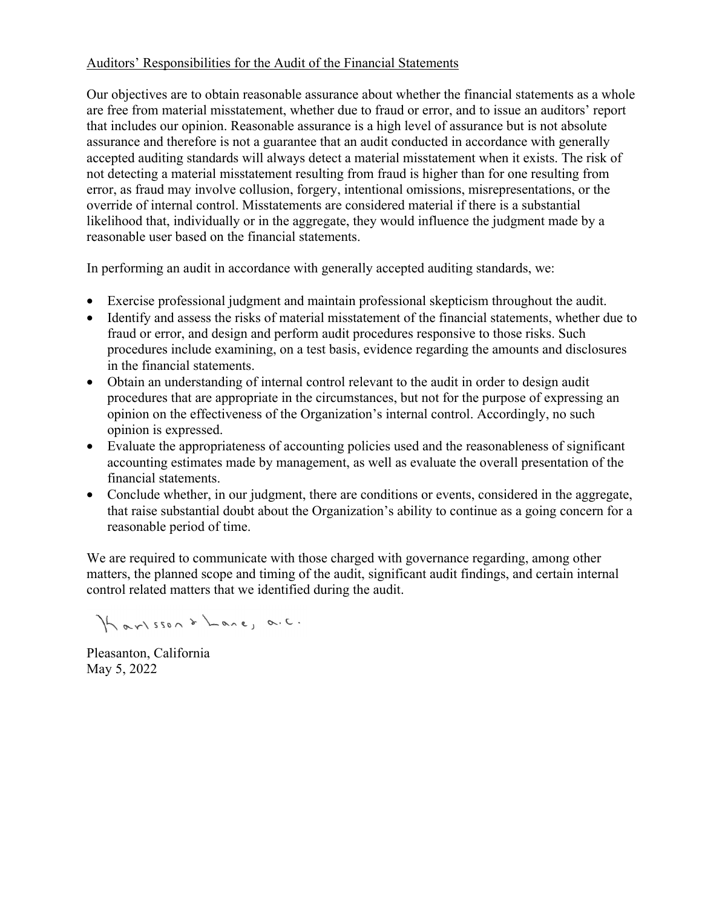## Auditors' Responsibilities for the Audit of the Financial Statements

Our objectives are to obtain reasonable assurance about whether the financial statements as a whole are free from material misstatement, whether due to fraud or error, and to issue an auditors' report that includes our opinion. Reasonable assurance is a high level of assurance but is not absolute assurance and therefore is not a guarantee that an audit conducted in accordance with generally accepted auditing standards will always detect a material misstatement when it exists. The risk of not detecting a material misstatement resulting from fraud is higher than for one resulting from error, as fraud may involve collusion, forgery, intentional omissions, misrepresentations, or the override of internal control. Misstatements are considered material if there is a substantial likelihood that, individually or in the aggregate, they would influence the judgment made by a reasonable user based on the financial statements.

In performing an audit in accordance with generally accepted auditing standards, we:

- Exercise professional judgment and maintain professional skepticism throughout the audit.
- Identify and assess the risks of material misstatement of the financial statements, whether due to fraud or error, and design and perform audit procedures responsive to those risks. Such procedures include examining, on a test basis, evidence regarding the amounts and disclosures in the financial statements.
- Obtain an understanding of internal control relevant to the audit in order to design audit procedures that are appropriate in the circumstances, but not for the purpose of expressing an opinion on the effectiveness of the Organization's internal control. Accordingly, no such opinion is expressed.
- Evaluate the appropriateness of accounting policies used and the reasonableness of significant accounting estimates made by management, as well as evaluate the overall presentation of the financial statements.
- Conclude whether, in our judgment, there are conditions or events, considered in the aggregate, that raise substantial doubt about the Organization's ability to continue as a going concern for a reasonable period of time.

We are required to communicate with those charged with governance regarding, among other matters, the planned scope and timing of the audit, significant audit findings, and certain internal control related matters that we identified during the audit.

Karlsson & Lane, a.c.

Pleasanton, California May 5, 2022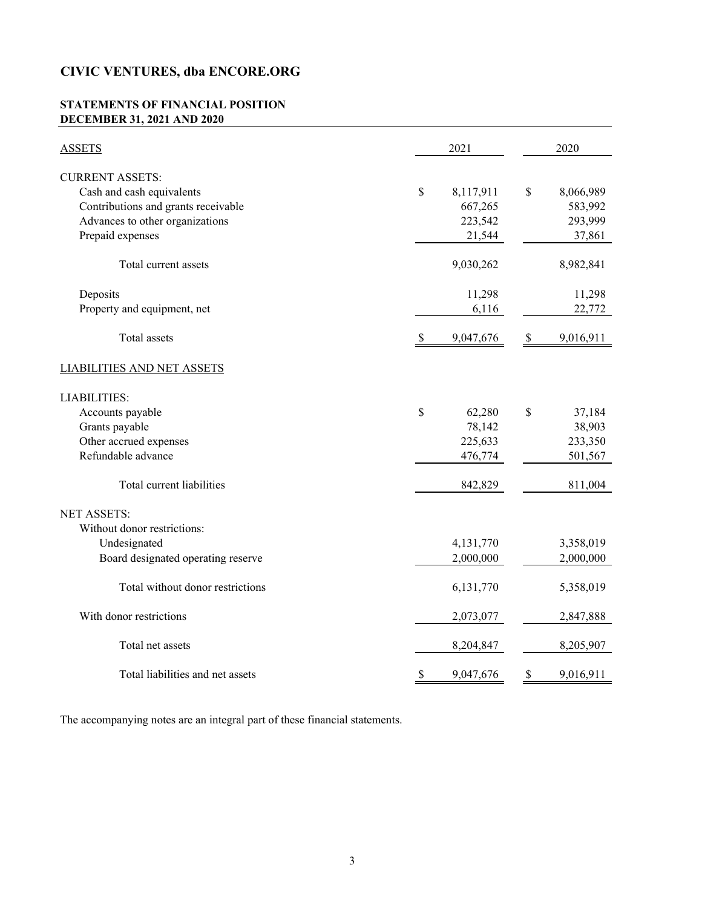### **STATEMENTS OF FINANCIAL POSITION DECEMBER 31, 2021 AND 2020**

| <b>ASSETS</b>                                                                                                                                     | 2021                                            | 2020                                            |
|---------------------------------------------------------------------------------------------------------------------------------------------------|-------------------------------------------------|-------------------------------------------------|
| <b>CURRENT ASSETS:</b><br>Cash and cash equivalents<br>Contributions and grants receivable<br>Advances to other organizations<br>Prepaid expenses | \$<br>8,117,911<br>667,265<br>223,542<br>21,544 | \$<br>8,066,989<br>583,992<br>293,999<br>37,861 |
| Total current assets                                                                                                                              | 9,030,262                                       | 8,982,841                                       |
| Deposits<br>Property and equipment, net                                                                                                           | 11,298<br>6,116                                 | 11,298<br>22,772                                |
| Total assets                                                                                                                                      | 9,047,676                                       | 9,016,911<br>\$                                 |
| <b>LIABILITIES AND NET ASSETS</b>                                                                                                                 |                                                 |                                                 |
| <b>LIABILITIES:</b><br>Accounts payable<br>Grants payable<br>Other accrued expenses<br>Refundable advance                                         | \$<br>62,280<br>78,142<br>225,633<br>476,774    | \$<br>37,184<br>38,903<br>233,350<br>501,567    |
| Total current liabilities<br><b>NET ASSETS:</b><br>Without donor restrictions:<br>Undesignated<br>Board designated operating reserve              | 842,829<br>4,131,770<br>2,000,000               | 811,004<br>3,358,019<br>2,000,000               |
| Total without donor restrictions                                                                                                                  | 6,131,770                                       | 5,358,019                                       |
| With donor restrictions                                                                                                                           | 2,073,077                                       | 2,847,888                                       |
| Total net assets                                                                                                                                  | 8,204,847                                       | 8,205,907                                       |
| Total liabilities and net assets                                                                                                                  | \$<br>9,047,676                                 | 9,016,911<br>\$                                 |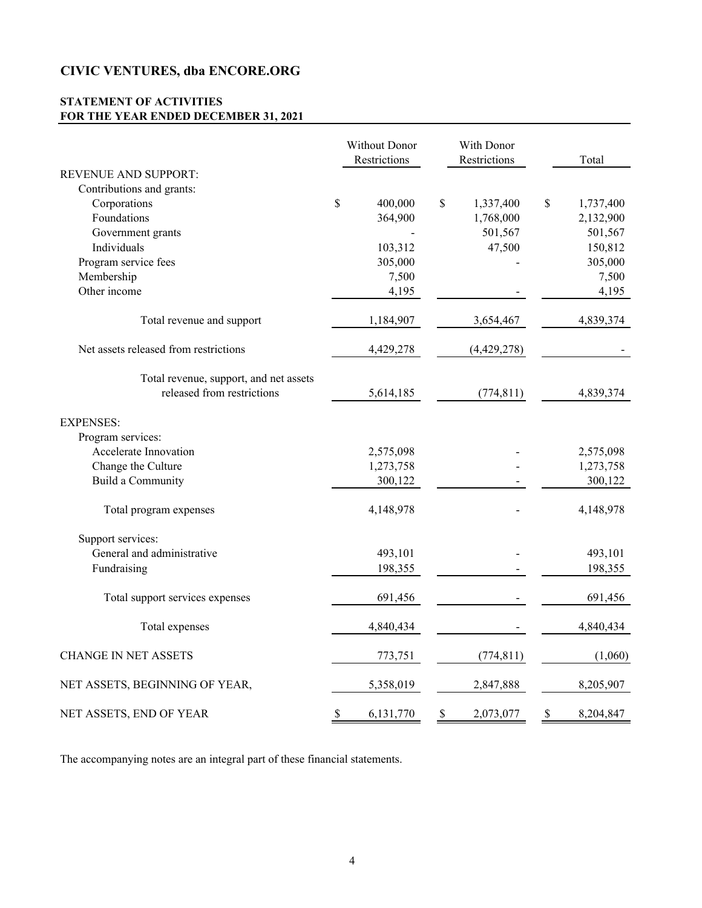### **STATEMENT OF ACTIVITIES FOR THE YEAR ENDED DECEMBER 31, 2021**

|                                                                      | <b>Without Donor</b><br>Restrictions | With Donor<br>Restrictions |      | Total                |
|----------------------------------------------------------------------|--------------------------------------|----------------------------|------|----------------------|
| REVENUE AND SUPPORT:                                                 |                                      |                            |      |                      |
| Contributions and grants:                                            |                                      |                            |      |                      |
| Corporations<br>Foundations                                          | \$<br>400,000                        | \$<br>1,337,400            | \$   | 1,737,400            |
| Government grants                                                    | 364,900                              | 1,768,000<br>501,567       |      | 2,132,900<br>501,567 |
| Individuals                                                          | 103,312                              | 47,500                     |      | 150,812              |
| Program service fees                                                 | 305,000                              |                            |      | 305,000              |
| Membership                                                           | 7,500                                |                            |      | 7,500                |
| Other income                                                         | 4,195                                |                            |      | 4,195                |
|                                                                      |                                      |                            |      |                      |
| Total revenue and support                                            | 1,184,907                            | 3,654,467                  |      | 4,839,374            |
| Net assets released from restrictions                                | 4,429,278                            | (4,429,278)                |      |                      |
| Total revenue, support, and net assets<br>released from restrictions |                                      |                            |      |                      |
|                                                                      | 5,614,185                            | (774, 811)                 |      | 4,839,374            |
| <b>EXPENSES:</b>                                                     |                                      |                            |      |                      |
| Program services:                                                    |                                      |                            |      |                      |
| Accelerate Innovation                                                | 2,575,098                            |                            |      | 2,575,098            |
| Change the Culture                                                   | 1,273,758                            |                            |      | 1,273,758            |
| Build a Community                                                    | 300,122                              |                            |      | 300,122              |
| Total program expenses                                               | 4,148,978                            |                            |      | 4,148,978            |
| Support services:                                                    |                                      |                            |      |                      |
| General and administrative                                           | 493,101                              |                            |      | 493,101              |
| Fundraising                                                          | 198,355                              |                            |      | 198,355              |
| Total support services expenses                                      | 691,456                              |                            |      | 691,456              |
| Total expenses                                                       | 4,840,434                            |                            |      | 4,840,434            |
| <b>CHANGE IN NET ASSETS</b>                                          | 773,751                              | (774, 811)                 |      | (1,060)              |
| NET ASSETS, BEGINNING OF YEAR,                                       | 5,358,019                            | 2,847,888                  |      | 8,205,907            |
| NET ASSETS, END OF YEAR                                              | \$<br>6,131,770                      | \$<br>2,073,077            | $\$$ | 8,204,847            |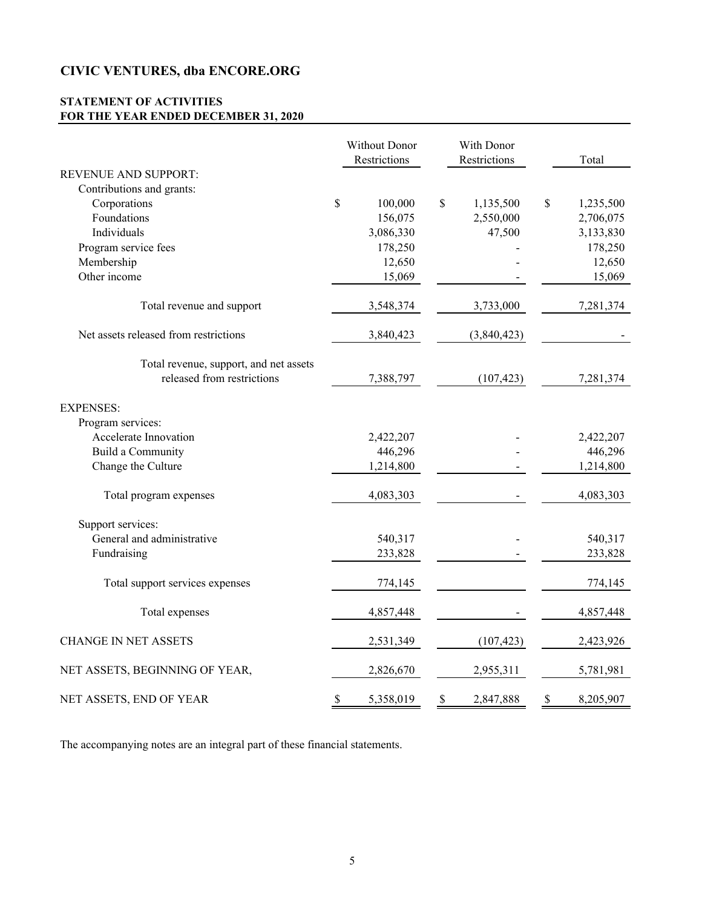### **STATEMENT OF ACTIVITIES FOR THE YEAR ENDED DECEMBER 31, 2020**

|                                        | <b>Without Donor</b><br>Restrictions | With Donor<br>Restrictions | Total           |
|----------------------------------------|--------------------------------------|----------------------------|-----------------|
| REVENUE AND SUPPORT:                   |                                      |                            |                 |
| Contributions and grants:              |                                      |                            |                 |
| Corporations                           | \$<br>100,000                        | \$<br>1,135,500            | \$<br>1,235,500 |
| Foundations                            | 156,075                              | 2,550,000                  | 2,706,075       |
| Individuals                            | 3,086,330                            | 47,500                     | 3,133,830       |
| Program service fees                   | 178,250                              |                            | 178,250         |
| Membership                             | 12,650                               |                            | 12,650          |
| Other income                           | 15,069                               |                            | 15,069          |
| Total revenue and support              | 3,548,374                            | 3,733,000                  | 7,281,374       |
| Net assets released from restrictions  | 3,840,423                            | (3,840,423)                |                 |
| Total revenue, support, and net assets |                                      |                            |                 |
| released from restrictions             | 7,388,797                            | (107, 423)                 | 7,281,374       |
| <b>EXPENSES:</b>                       |                                      |                            |                 |
| Program services:                      |                                      |                            |                 |
| Accelerate Innovation                  | 2,422,207                            |                            | 2,422,207       |
| <b>Build a Community</b>               | 446,296                              |                            | 446,296         |
| Change the Culture                     | 1,214,800                            |                            | 1,214,800       |
| Total program expenses                 | 4,083,303                            |                            | 4,083,303       |
| Support services:                      |                                      |                            |                 |
| General and administrative             | 540,317                              |                            | 540,317         |
| Fundraising                            | 233,828                              |                            | 233,828         |
| Total support services expenses        | 774,145                              |                            | 774,145         |
| Total expenses                         | 4,857,448                            |                            | 4,857,448       |
| <b>CHANGE IN NET ASSETS</b>            | 2,531,349                            | (107, 423)                 | 2,423,926       |
| NET ASSETS, BEGINNING OF YEAR,         | 2,826,670                            | 2,955,311                  | 5,781,981       |
| NET ASSETS, END OF YEAR                | \$<br>5,358,019                      | \$<br>2,847,888            | \$<br>8,205,907 |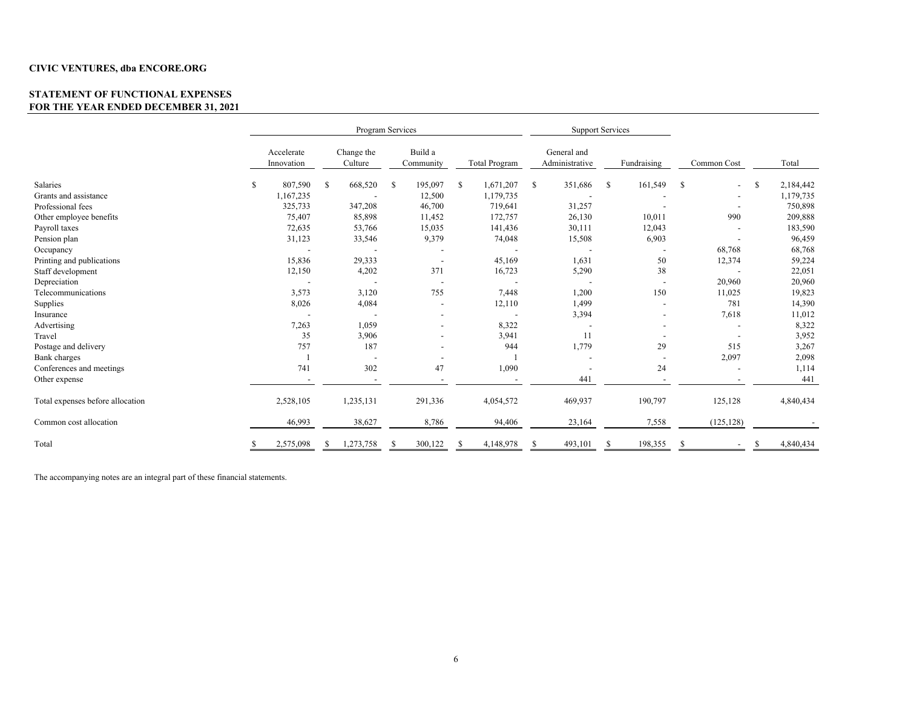#### **STATEMENT OF FUNCTIONAL EXPENSES FOR THE YEAR ENDED DECEMBER 31, 2021**

|                                  |                          | Program Services         |                       |                          |                      | <b>Support Services</b> |               |           |                               |         |             |                          |             |                          |   |           |
|----------------------------------|--------------------------|--------------------------|-----------------------|--------------------------|----------------------|-------------------------|---------------|-----------|-------------------------------|---------|-------------|--------------------------|-------------|--------------------------|---|-----------|
|                                  | Accelerate<br>Innovation |                          | Change the<br>Culture |                          | Build a<br>Community |                         | Total Program |           | General and<br>Administrative |         | Fundraising |                          | Common Cost |                          |   | Total     |
| Salaries                         | S.                       | 807,590                  | -S                    | 668,520                  | -S                   | 195,097                 | \$            | 1,671,207 | <sup>\$</sup>                 | 351,686 | -S          | 161,549                  | -S          | $\overline{\phantom{0}}$ | S | 2,184,442 |
| Grants and assistance            |                          | 1,167,235                |                       |                          |                      | 12,500                  |               | 1,179,735 |                               |         |             |                          |             |                          |   | 1,179,735 |
| Professional fees                |                          | 325,733                  |                       | 347,208                  |                      | 46,700                  |               | 719,641   |                               | 31,257  |             |                          |             |                          |   | 750,898   |
| Other employee benefits          |                          | 75,407                   |                       | 85,898                   |                      | 11,452                  |               | 172,757   |                               | 26,130  |             | 10,011                   |             | 990                      |   | 209,888   |
| Payroll taxes                    |                          | 72,635                   |                       | 53,766                   |                      | 15,035                  |               | 141,436   |                               | 30,111  |             | 12,043                   |             |                          |   | 183,590   |
| Pension plan                     |                          | 31,123                   |                       | 33,546                   |                      | 9,379                   |               | 74,048    |                               | 15,508  |             | 6,903                    |             |                          |   | 96,459    |
| Occupancy                        |                          |                          |                       |                          |                      |                         |               |           |                               |         |             |                          |             | 68,768                   |   | 68,768    |
| Printing and publications        |                          | 15,836                   |                       | 29,333                   |                      |                         |               | 45,169    |                               | 1,631   |             | 50                       |             | 12,374                   |   | 59,224    |
| Staff development                |                          | 12,150                   |                       | 4,202                    |                      | 371                     |               | 16,723    |                               | 5,290   |             | 38                       |             |                          |   | 22,051    |
| Depreciation                     |                          |                          |                       |                          |                      |                         |               |           |                               |         |             | $\overline{\phantom{a}}$ |             | 20,960                   |   | 20,960    |
| Telecommunications               |                          | 3,573                    |                       | 3,120                    |                      | 755                     |               | 7,448     |                               | 1,200   |             | 150                      |             | 11,025                   |   | 19,823    |
| Supplies                         |                          | 8,026                    |                       | 4,084                    |                      |                         |               | 12,110    |                               | 1,499   |             |                          |             | 781                      |   | 14,390    |
| Insurance                        |                          |                          |                       |                          |                      |                         |               |           |                               | 3,394   |             | $\overline{\phantom{a}}$ |             | 7,618                    |   | 11,012    |
| Advertising                      |                          | 7,263                    |                       | 1,059                    |                      |                         |               | 8,322     |                               |         |             |                          |             |                          |   | 8,322     |
| Travel                           |                          | 35                       |                       | 3,906                    |                      |                         |               | 3,941     |                               | 11      |             |                          |             |                          |   | 3,952     |
| Postage and delivery             |                          | 757                      |                       | 187                      |                      |                         |               | 944       |                               | 1,779   |             | 29                       |             | 515                      |   | 3,267     |
| Bank charges                     |                          |                          |                       |                          |                      |                         |               |           |                               |         |             |                          |             | 2,097                    |   | 2,098     |
| Conferences and meetings         |                          | 741                      |                       | 302                      |                      | 47                      |               | 1,090     |                               |         |             | 24                       |             |                          |   | 1,114     |
| Other expense                    |                          | $\overline{\phantom{a}}$ |                       | $\overline{\phantom{a}}$ |                      |                         |               |           |                               | 441     |             | $\overline{\phantom{a}}$ |             |                          |   | 441       |
| Total expenses before allocation |                          | 2,528,105                |                       | 1,235,131                |                      | 291,336                 |               | 4,054,572 |                               | 469,937 |             | 190,797                  |             | 125,128                  |   | 4,840,434 |
| Common cost allocation           |                          | 46,993                   |                       | 38,627                   |                      | 8,786                   |               | 94,406    |                               | 23,164  |             | 7,558                    |             | (125, 128)               |   |           |
| Total                            | S                        | 2,575,098                | -S                    | 1,273,758                | S                    | 300,122                 | <b>S</b>      | 4,148,978 | S                             | 493,101 | S           | 198,355                  | -S          |                          | S | 4,840,434 |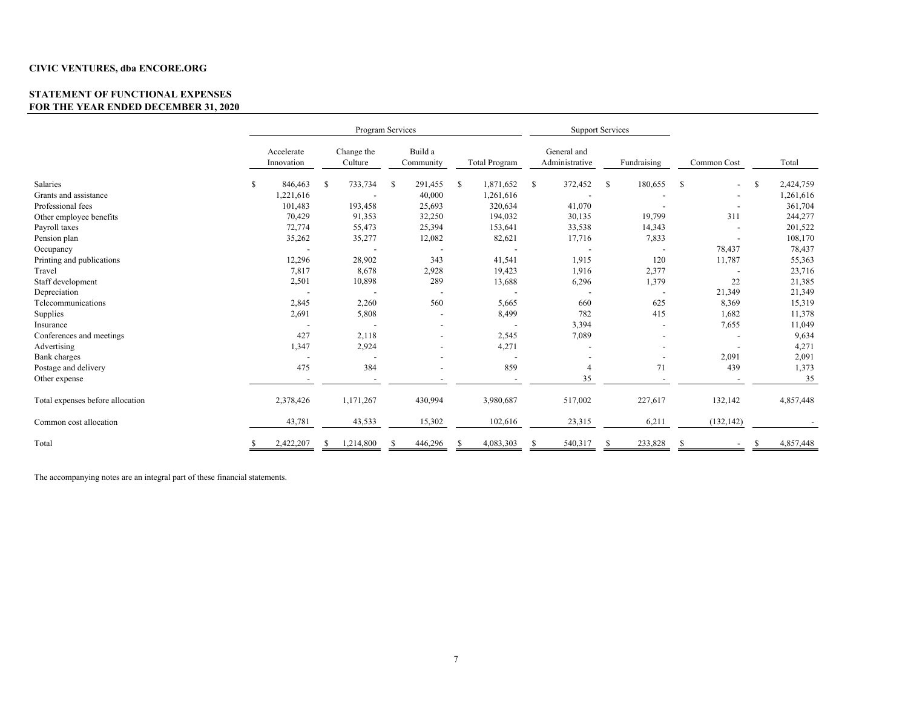#### **STATEMENT OF FUNCTIONAL EXPENSES FOR THE YEAR ENDED DECEMBER 31, 2020**

|                                  |                          |           |                       | Program Services |                      |         |               | <b>Support Services</b> |                               |         |             |                          |             |                          |    |           |
|----------------------------------|--------------------------|-----------|-----------------------|------------------|----------------------|---------|---------------|-------------------------|-------------------------------|---------|-------------|--------------------------|-------------|--------------------------|----|-----------|
|                                  | Accelerate<br>Innovation |           | Change the<br>Culture |                  | Build a<br>Community |         | Total Program |                         | General and<br>Administrative |         | Fundraising |                          | Common Cost |                          |    | Total     |
| Salaries                         | S.                       | 846,463   | -S                    | 733,734          | -S                   | 291,455 | S.            | 1,871,652               | -S                            | 372,452 | -S          | 180,655                  | -S          | $\overline{\phantom{a}}$ | -S | 2,424,759 |
| Grants and assistance            |                          | 1,221,616 |                       |                  |                      | 40,000  |               | 1,261,616               |                               |         |             |                          |             |                          |    | 1,261,616 |
| Professional fees                |                          | 101,483   |                       | 193,458          |                      | 25,693  |               | 320,634                 |                               | 41,070  |             |                          |             |                          |    | 361,704   |
| Other employee benefits          |                          | 70,429    |                       | 91,353           |                      | 32,250  |               | 194,032                 |                               | 30,135  |             | 19,799                   |             | 311                      |    | 244,277   |
| Payroll taxes                    |                          | 72,774    |                       | 55,473           |                      | 25,394  |               | 153,641                 |                               | 33,538  |             | 14,343                   |             |                          |    | 201,522   |
| Pension plan                     |                          | 35,262    |                       | 35,277           |                      | 12,082  |               | 82,621                  |                               | 17,716  |             | 7,833                    |             |                          |    | 108,170   |
| Occupancy                        |                          |           |                       |                  |                      |         |               |                         |                               |         |             |                          |             | 78,437                   |    | 78,437    |
| Printing and publications        |                          | 12,296    |                       | 28,902           |                      | 343     |               | 41,541                  |                               | 1,915   |             | 120                      |             | 11,787                   |    | 55,363    |
| Travel                           |                          | 7,817     |                       | 8,678            |                      | 2,928   |               | 19,423                  |                               | 1,916   |             | 2,377                    |             |                          |    | 23,716    |
| Staff development                |                          | 2,501     |                       | 10,898           |                      | 289     |               | 13,688                  |                               | 6,296   |             | 1,379                    |             | 22                       |    | 21,385    |
| Depreciation                     |                          |           |                       |                  |                      |         |               |                         |                               |         |             |                          |             | 21,349                   |    | 21,349    |
| Telecommunications               |                          | 2,845     |                       | 2,260            |                      | 560     |               | 5,665                   |                               | 660     |             | 625                      |             | 8,369                    |    | 15,319    |
| Supplies                         |                          | 2,691     |                       | 5,808            |                      |         |               | 8,499                   |                               | 782     |             | 415                      |             | 1,682                    |    | 11,378    |
| Insurance                        |                          |           |                       |                  |                      |         |               |                         |                               | 3,394   |             |                          |             | 7,655                    |    | 11,049    |
| Conferences and meetings         |                          | 427       |                       | 2,118            |                      |         |               | 2,545                   |                               | 7,089   |             | $\overline{\phantom{a}}$ |             |                          |    | 9,634     |
| Advertising                      |                          | 1,347     |                       | 2,924            |                      |         |               | 4,271                   |                               |         |             |                          |             |                          |    | 4,271     |
| Bank charges                     |                          |           |                       |                  |                      |         |               |                         |                               |         |             |                          |             | 2,091                    |    | 2,091     |
| Postage and delivery             |                          | 475       |                       | 384              |                      |         |               | 859                     |                               | 4       |             | 71                       |             | 439                      |    | 1,373     |
| Other expense                    |                          |           |                       |                  |                      |         |               |                         |                               | 35      |             |                          |             |                          |    | 35        |
| Total expenses before allocation |                          | 2,378,426 |                       | 1,171,267        |                      | 430,994 |               | 3,980,687               |                               | 517,002 |             | 227,617                  |             | 132,142                  |    | 4,857,448 |
| Common cost allocation           |                          | 43,781    |                       | 43,533           |                      | 15,302  |               | 102,616                 |                               | 23,315  |             | 6,211                    |             | (132, 142)               |    |           |
| Total                            |                          | 2,422,207 |                       | 1,214,800        | -S                   | 446,296 | S             | 4,083,303               | S                             | 540,317 | \$          | 233,828                  | S           |                          | \$ | 4,857,448 |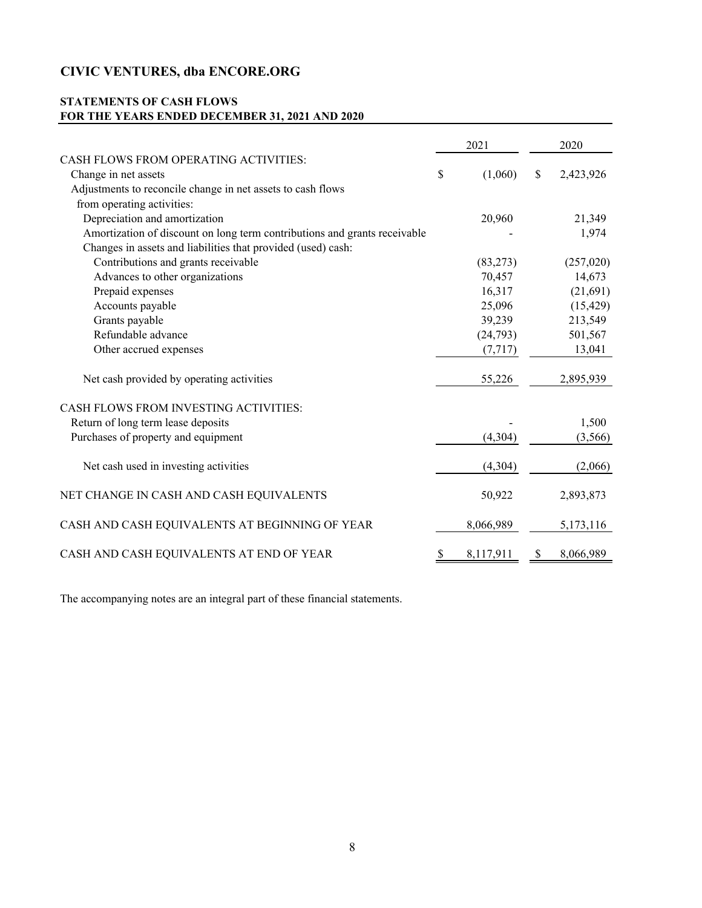### **STATEMENTS OF CASH FLOWS FOR THE YEARS ENDED DECEMBER 31, 2021 AND 2020**

|                                                                           | 2021            | 2020            |
|---------------------------------------------------------------------------|-----------------|-----------------|
| <b>CASH FLOWS FROM OPERATING ACTIVITIES:</b>                              |                 |                 |
| Change in net assets                                                      | \$<br>(1,060)   | \$<br>2,423,926 |
| Adjustments to reconcile change in net assets to cash flows               |                 |                 |
| from operating activities:                                                |                 |                 |
| Depreciation and amortization                                             | 20,960          | 21,349          |
| Amortization of discount on long term contributions and grants receivable |                 | 1,974           |
| Changes in assets and liabilities that provided (used) cash:              |                 |                 |
| Contributions and grants receivable                                       | (83, 273)       | (257,020)       |
| Advances to other organizations                                           | 70,457          | 14,673          |
| Prepaid expenses                                                          | 16,317          | (21,691)        |
| Accounts payable                                                          | 25,096          | (15, 429)       |
| Grants payable                                                            | 39,239          | 213,549         |
| Refundable advance                                                        | (24,793)        | 501,567         |
| Other accrued expenses                                                    | (7, 717)        | 13,041          |
| Net cash provided by operating activities                                 | 55,226          | 2,895,939       |
| CASH FLOWS FROM INVESTING ACTIVITIES:                                     |                 |                 |
| Return of long term lease deposits                                        |                 | 1,500           |
| Purchases of property and equipment                                       | (4,304)         | (3, 566)        |
| Net cash used in investing activities                                     | (4,304)         | (2,066)         |
| NET CHANGE IN CASH AND CASH EQUIVALENTS                                   | 50,922          | 2,893,873       |
| CASH AND CASH EQUIVALENTS AT BEGINNING OF YEAR                            | 8,066,989       | 5,173,116       |
| CASH AND CASH EQUIVALENTS AT END OF YEAR                                  | \$<br>8,117,911 | \$<br>8,066,989 |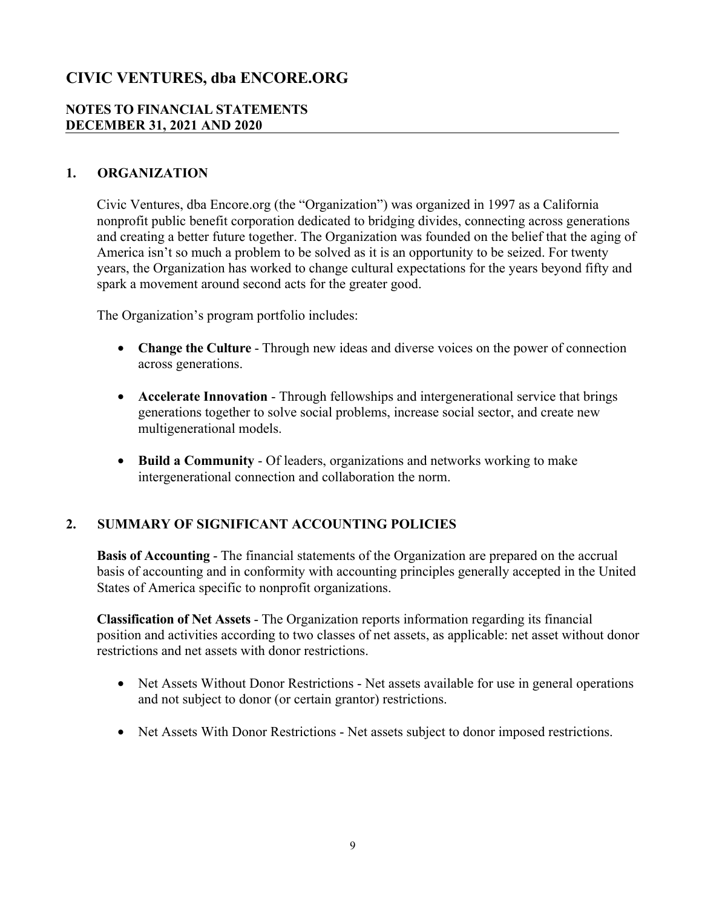## **NOTES TO FINANCIAL STATEMENTS DECEMBER 31, 2021 AND 2020**

## **1. ORGANIZATION**

Civic Ventures, dba Encore.org (the "Organization") was organized in 1997 as a California nonprofit public benefit corporation dedicated to bridging divides, connecting across generations and creating a better future together. The Organization was founded on the belief that the aging of America isn't so much a problem to be solved as it is an opportunity to be seized. For twenty years, the Organization has worked to change cultural expectations for the years beyond fifty and spark a movement around second acts for the greater good.

The Organization's program portfolio includes:

- **Change the Culture** Through new ideas and diverse voices on the power of connection across generations.
- **Accelerate Innovation** Through fellowships and intergenerational service that brings generations together to solve social problems, increase social sector, and create new multigenerational models.
- **Build a Community** Of leaders, organizations and networks working to make intergenerational connection and collaboration the norm.

## **2. SUMMARY OF SIGNIFICANT ACCOUNTING POLICIES**

**Basis of Accounting** - The financial statements of the Organization are prepared on the accrual basis of accounting and in conformity with accounting principles generally accepted in the United States of America specific to nonprofit organizations.

**Classification of Net Assets** - The Organization reports information regarding its financial position and activities according to two classes of net assets, as applicable: net asset without donor restrictions and net assets with donor restrictions.

- Net Assets Without Donor Restrictions Net assets available for use in general operations and not subject to donor (or certain grantor) restrictions.
- Net Assets With Donor Restrictions Net assets subject to donor imposed restrictions.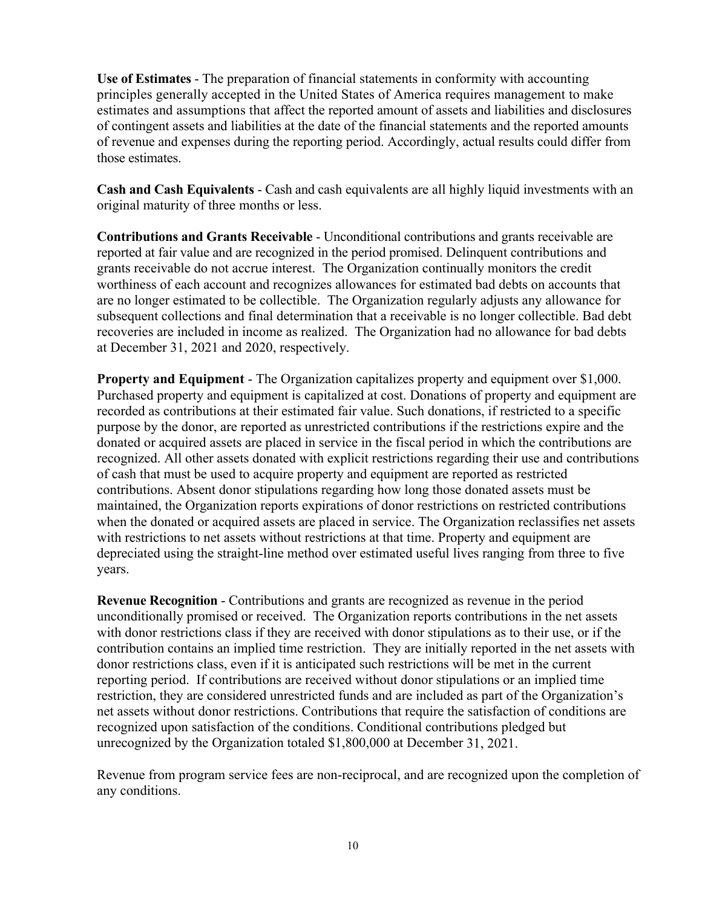**Use of Estimates** - The preparation of financial statements in conformity with accounting principles generally accepted in the United States of America requires management to make estimates and assumptions that affect the reported amount of assets and liabilities and disclosures of contingent assets and liabilities at the date of the financial statements and the reported amounts of revenue and expenses during the reporting period. Accordingly, actual results could differ from those estimates.

**Cash and Cash Equivalents** - Cash and cash equivalents are all highly liquid investments with an original maturity of three months or less.

**Contributions and Grants Receivable** - Unconditional contributions and grants receivable are reported at fair value and are recognized in the period promised. Delinquent contributions and grants receivable do not accrue interest. The Organization continually monitors the credit worthiness of each account and recognizes allowances for estimated bad debts on accounts that are no longer estimated to be collectible. The Organization regularly adjusts any allowance for subsequent collections and final determination that a receivable is no longer collectible. Bad debt recoveries are included in income as realized. The Organization had no allowance for bad debts at December 31, 2021 and 2020, respectively.

**Property and Equipment** - The Organization capitalizes property and equipment over \$1,000. Purchased property and equipment is capitalized at cost. Donations of property and equipment are recorded as contributions at their estimated fair value. Such donations, if restricted to a specific purpose by the donor, are reported as unrestricted contributions if the restrictions expire and the donated or acquired assets are placed in service in the fiscal period in which the contributions are recognized. All other assets donated with explicit restrictions regarding their use and contributions of cash that must be used to acquire property and equipment are reported as restricted contributions. Absent donor stipulations regarding how long those donated assets must be maintained, the Organization reports expirations of donor restrictions on restricted contributions when the donated or acquired assets are placed in service. The Organization reclassifies net assets with restrictions to net assets without restrictions at that time. Property and equipment are depreciated using the straight-line method over estimated useful lives ranging from three to five years.

**Revenue Recognition** - Contributions and grants are recognized as revenue in the period unconditionally promised or received. The Organization reports contributions in the net assets with donor restrictions class if they are received with donor stipulations as to their use, or if the contribution contains an implied time restriction. They are initially reported in the net assets with donor restrictions class, even if it is anticipated such restrictions will be met in the current reporting period. If contributions are received without donor stipulations or an implied time restriction, they are considered unrestricted funds and are included as part of the Organization's net assets without donor restrictions. Contributions that require the satisfaction of conditions are recognized upon satisfaction of the conditions. Conditional contributions pledged but unrecognized by the Organization totaled \$1,800,000 at December 31, 2021.

Revenue from program service fees are non-reciprocal, and are recognized upon the completion of any conditions.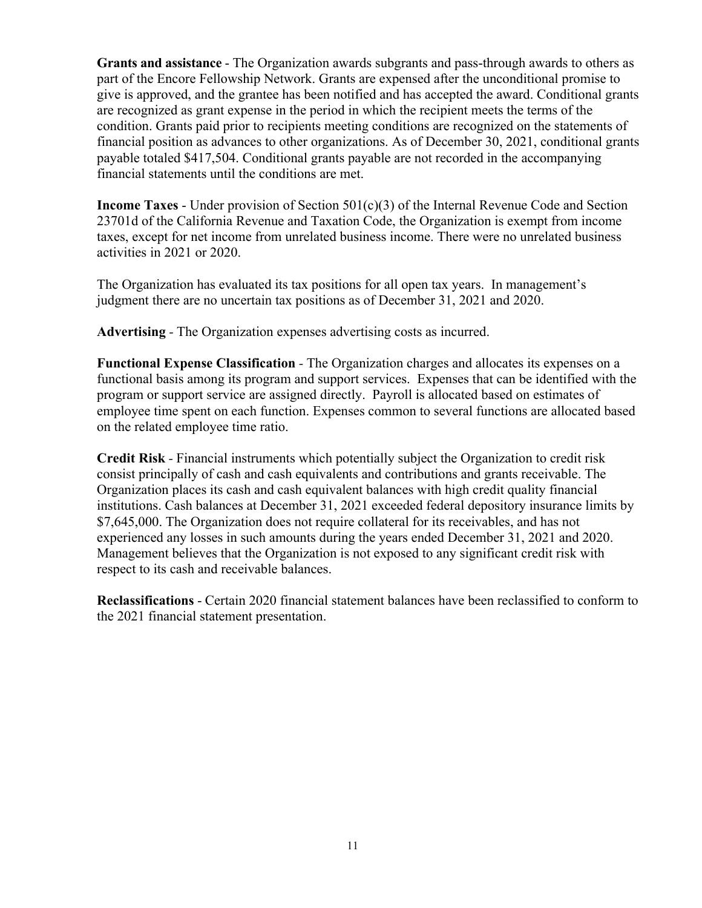**Grants and assistance** - The Organization awards subgrants and pass-through awards to others as part of the Encore Fellowship Network. Grants are expensed after the unconditional promise to give is approved, and the grantee has been notified and has accepted the award. Conditional grants are recognized as grant expense in the period in which the recipient meets the terms of the condition. Grants paid prior to recipients meeting conditions are recognized on the statements of financial position as advances to other organizations. As of December 30, 2021, conditional grants payable totaled \$417,504. Conditional grants payable are not recorded in the accompanying financial statements until the conditions are met.

**Income Taxes** - Under provision of Section 501(c)(3) of the Internal Revenue Code and Section 23701d of the California Revenue and Taxation Code, the Organization is exempt from income taxes, except for net income from unrelated business income. There were no unrelated business activities in 2021 or 2020.

The Organization has evaluated its tax positions for all open tax years. In management's judgment there are no uncertain tax positions as of December 31, 2021 and 2020.

**Advertising** *-* The Organization expenses advertising costs as incurred.

**Functional Expense Classification** *-* The Organization charges and allocates its expenses on a functional basis among its program and support services. Expenses that can be identified with the program or support service are assigned directly. Payroll is allocated based on estimates of employee time spent on each function. Expenses common to several functions are allocated based on the related employee time ratio.

**Credit Risk** *-* Financial instruments which potentially subject the Organization to credit risk consist principally of cash and cash equivalents and contributions and grants receivable. The Organization places its cash and cash equivalent balances with high credit quality financial institutions. Cash balances at December 31, 2021 exceeded federal depository insurance limits by \$7,645,000. The Organization does not require collateral for its receivables, and has not experienced any losses in such amounts during the years ended December 31, 2021 and 2020. Management believes that the Organization is not exposed to any significant credit risk with respect to its cash and receivable balances.

**Reclassifications** - Certain 2020 financial statement balances have been reclassified to conform to the 2021 financial statement presentation.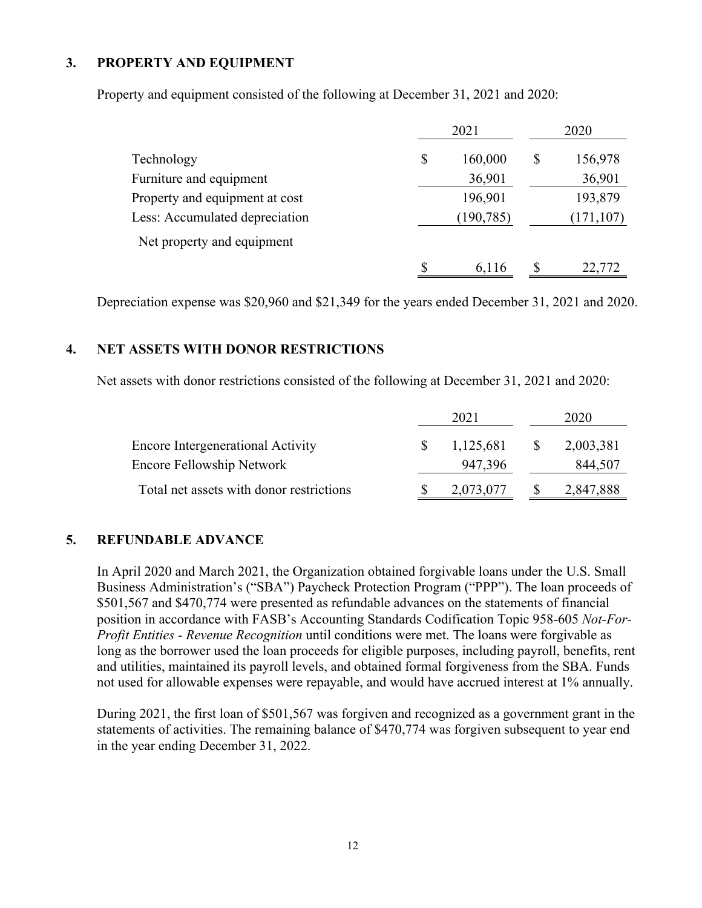## **3. PROPERTY AND EQUIPMENT**

Property and equipment consisted of the following at December 31, 2021 and 2020:

|                                | 2021          | 2020          |
|--------------------------------|---------------|---------------|
| Technology                     | \$<br>160,000 | \$<br>156,978 |
| Furniture and equipment        | 36,901        | 36,901        |
| Property and equipment at cost | 196,901       | 193,879       |
| Less: Accumulated depreciation | (190, 785)    | (171, 107)    |
| Net property and equipment     |               |               |
|                                | 6,116         | 22,772        |

Depreciation expense was \$20,960 and \$21,349 for the years ended December 31, 2021 and 2020.

## **4. NET ASSETS WITH DONOR RESTRICTIONS**

Net assets with donor restrictions consisted of the following at December 31, 2021 and 2020:

|                                          | 2021      | 2020      |
|------------------------------------------|-----------|-----------|
| <b>Encore Intergenerational Activity</b> | 1,125,681 | 2,003,381 |
| Encore Fellowship Network                | 947,396   | 844,507   |
| Total net assets with donor restrictions | 2,073,077 | 2,847,888 |

## **5. REFUNDABLE ADVANCE**

In April 2020 and March 2021, the Organization obtained forgivable loans under the U.S. Small Business Administration's ("SBA") Paycheck Protection Program ("PPP"). The loan proceeds of \$501,567 and \$470,774 were presented as refundable advances on the statements of financial position in accordance with FASB's Accounting Standards Codification Topic 958-605 *Not-For-Profit Entities - Revenue Recognition* until conditions were met. The loans were forgivable as long as the borrower used the loan proceeds for eligible purposes, including payroll, benefits, rent and utilities, maintained its payroll levels, and obtained formal forgiveness from the SBA. Funds not used for allowable expenses were repayable, and would have accrued interest at 1% annually.

During 2021, the first loan of \$501,567 was forgiven and recognized as a government grant in the statements of activities. The remaining balance of \$470,774 was forgiven subsequent to year end in the year ending December 31, 2022.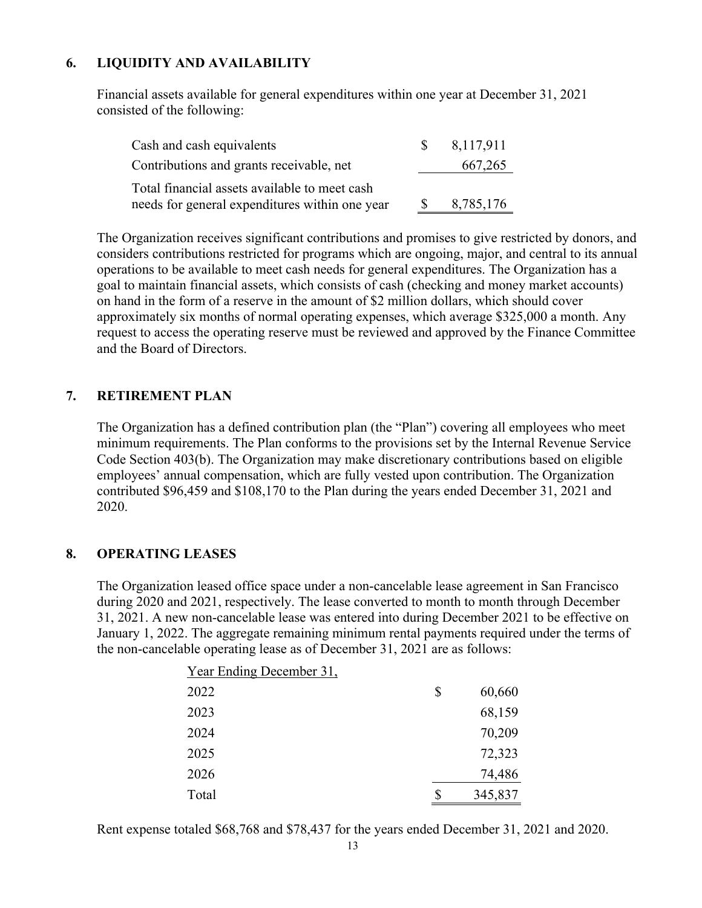## **6. LIQUIDITY AND AVAILABILITY**

Financial assets available for general expenditures within one year at December 31, 2021 consisted of the following:

| Cash and cash equivalents                                                                       | -SS- | 8,117,911 |
|-------------------------------------------------------------------------------------------------|------|-----------|
| Contributions and grants receivable, net                                                        |      | 667,265   |
| Total financial assets available to meet cash<br>needs for general expenditures within one year |      | 8,785,176 |
|                                                                                                 |      |           |

The Organization receives significant contributions and promises to give restricted by donors, and considers contributions restricted for programs which are ongoing, major, and central to its annual operations to be available to meet cash needs for general expenditures. The Organization has a goal to maintain financial assets, which consists of cash (checking and money market accounts) on hand in the form of a reserve in the amount of \$2 million dollars, which should cover approximately six months of normal operating expenses, which average \$325,000 a month. Any request to access the operating reserve must be reviewed and approved by the Finance Committee and the Board of Directors.

## **7. RETIREMENT PLAN**

The Organization has a defined contribution plan (the "Plan") covering all employees who meet minimum requirements. The Plan conforms to the provisions set by the Internal Revenue Service Code Section 403(b). The Organization may make discretionary contributions based on eligible employees' annual compensation, which are fully vested upon contribution. The Organization contributed \$96,459 and \$108,170 to the Plan during the years ended December 31, 2021 and 2020.

## **8. OPERATING LEASES**

The Organization leased office space under a non-cancelable lease agreement in San Francisco during 2020 and 2021, respectively. The lease converted to month to month through December 31, 2021. A new non-cancelable lease was entered into during December 2021 to be effective on January 1, 2022. The aggregate remaining minimum rental payments required under the terms of the non-cancelable operating lease as of December 31, 2021 are as follows:

| Year Ending December 31, |    |         |
|--------------------------|----|---------|
| 2022                     | \$ | 60,660  |
| 2023                     |    | 68,159  |
| 2024                     |    | 70,209  |
| 2025                     |    | 72,323  |
| 2026                     |    | 74,486  |
| Total                    | S  | 345,837 |

Rent expense totaled \$68,768 and \$78,437 for the years ended December 31, 2021 and 2020.